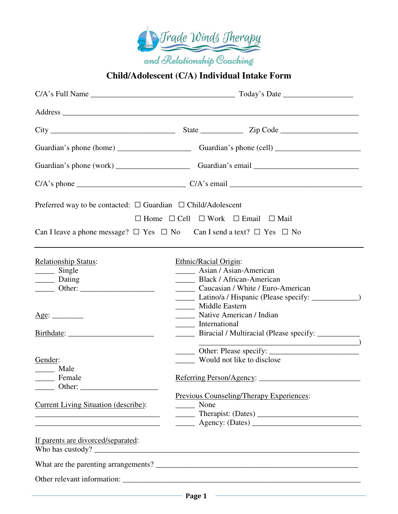

## **Child/Adolescent (C/A) Individual Intake Form**

| Preferred way to be contacted: $\Box$ Guardian $\Box$ Child/Adolescent                                                                                                                                                                                                                                                                                                                                                                                                                        |                                                                                                                                                                                                                                                                                                                                                                                                                                               |
|-----------------------------------------------------------------------------------------------------------------------------------------------------------------------------------------------------------------------------------------------------------------------------------------------------------------------------------------------------------------------------------------------------------------------------------------------------------------------------------------------|-----------------------------------------------------------------------------------------------------------------------------------------------------------------------------------------------------------------------------------------------------------------------------------------------------------------------------------------------------------------------------------------------------------------------------------------------|
|                                                                                                                                                                                                                                                                                                                                                                                                                                                                                               | $\Box$ Home $\Box$ Cell $\Box$ Work $\Box$ Email $\Box$ Mail                                                                                                                                                                                                                                                                                                                                                                                  |
|                                                                                                                                                                                                                                                                                                                                                                                                                                                                                               | Can I leave a phone message? $\Box$ Yes $\Box$ No Can I send a text? $\Box$ Yes $\Box$ No                                                                                                                                                                                                                                                                                                                                                     |
|                                                                                                                                                                                                                                                                                                                                                                                                                                                                                               |                                                                                                                                                                                                                                                                                                                                                                                                                                               |
| <b>Relationship Status:</b><br>______ Single<br>$\frac{1}{\sqrt{2}}$ Dating<br>$\frac{1}{\sqrt{1-\frac{1}{2}}}\text{Other:}\frac{1}{\sqrt{1-\frac{1}{2}}}\text{other:}$<br>Age:<br>Gender:<br>______ Male<br>_______ Female                                                                                                                                                                                                                                                                   | Ethnic/Racial Origin:<br><b>Asian / Asian-American</b><br>Black / African-American<br>Caucasian / White / Euro-American<br>Latino/a / Hispanic (Please specify: _____________)<br>______ Middle Eastern<br>Native American / Indian<br>______ International<br>_______ Biracial / Multiracial (Please specify: _________________________________<br>$\overline{\phantom{a}}$ )<br>____ Would not like to disclose<br>Referring Person/Agency: |
| $\frac{1}{\sqrt{1-\frac{1}{2}}}\text{Other:}\frac{1}{\sqrt{1-\frac{1}{2}}}\text{ other:}\frac{1}{\sqrt{1-\frac{1}{2}}}\text{ other:}\frac{1}{\sqrt{1-\frac{1}{2}}}\text{ or }2\sqrt{1-\frac{1}{2}}\text{ or }2\sqrt{1-\frac{1}{2}}\text{ or }2\sqrt{1-\frac{1}{2}}\text{ or }2\sqrt{1-\frac{1}{2}}\text{ or }2\sqrt{1-\frac{1}{2}}\text{ or }2\sqrt{1-\frac{1}{2}}\text{ or }2\sqrt{1-\frac{1}{2}}\text{ or }2\sqrt{1-\frac{1}{2}}\text{ or }$<br><b>Current Living Situation (describe):</b> | <b>Previous Counseling/Therapy Experiences:</b><br>None                                                                                                                                                                                                                                                                                                                                                                                       |
| If parents are divorced/separated:                                                                                                                                                                                                                                                                                                                                                                                                                                                            |                                                                                                                                                                                                                                                                                                                                                                                                                                               |
|                                                                                                                                                                                                                                                                                                                                                                                                                                                                                               |                                                                                                                                                                                                                                                                                                                                                                                                                                               |
|                                                                                                                                                                                                                                                                                                                                                                                                                                                                                               |                                                                                                                                                                                                                                                                                                                                                                                                                                               |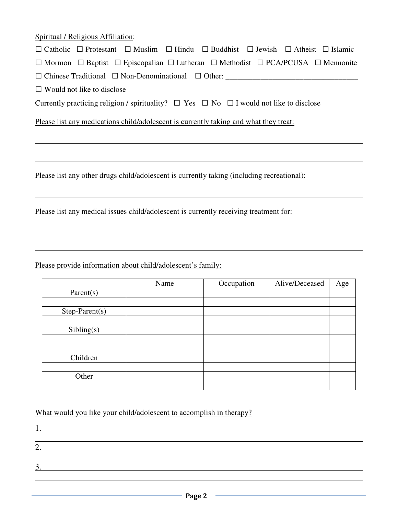|  | Spiritual / Religious Affiliation: |
|--|------------------------------------|
|  |                                    |

| $\Box$ Catholic $\Box$ Protestant $\Box$ Muslim $\Box$ Hindu $\Box$ Buddhist $\Box$ Jewish $\Box$ Atheist $\Box$ Islamic |  |  |  |
|--------------------------------------------------------------------------------------------------------------------------|--|--|--|
| $\Box$ Mormon $\Box$ Baptist $\Box$ Episcopalian $\Box$ Lutheran $\Box$ Methodist $\Box$ PCA/PCUSA $\Box$ Mennonite      |  |  |  |
| $\Box$ Chinese Traditional $\Box$ Non-Denominational $\Box$ Other:                                                       |  |  |  |
| $\Box$ Would not like to disclose                                                                                        |  |  |  |
| Currently practicing religion / spirituality? $\Box$ Yes $\Box$ No $\Box$ I would not like to disclose                   |  |  |  |
| Please list any medications child/adolescent is currently taking and what they treat:                                    |  |  |  |
|                                                                                                                          |  |  |  |
| Please list any other drugs child/adolescent is currently taking (including recreational):                               |  |  |  |
|                                                                                                                          |  |  |  |

Please list any medical issues child/adolescent is currently receiving treatment for:

Please provide information about child/adolescent's family:

|                  | Name | Occupation | Alive/Deceased | Age |
|------------------|------|------------|----------------|-----|
| Parent(s)        |      |            |                |     |
|                  |      |            |                |     |
| $Step-Parent(s)$ |      |            |                |     |
|                  |      |            |                |     |
| Sibling(s)       |      |            |                |     |
|                  |      |            |                |     |
|                  |      |            |                |     |
| Children         |      |            |                |     |
|                  |      |            |                |     |
| Other            |      |            |                |     |
|                  |      |            |                |     |

What would you like your child/adolescent to accomplish in therapy?

| . . |  |  |  |
|-----|--|--|--|
|     |  |  |  |
|     |  |  |  |
|     |  |  |  |
|     |  |  |  |
|     |  |  |  |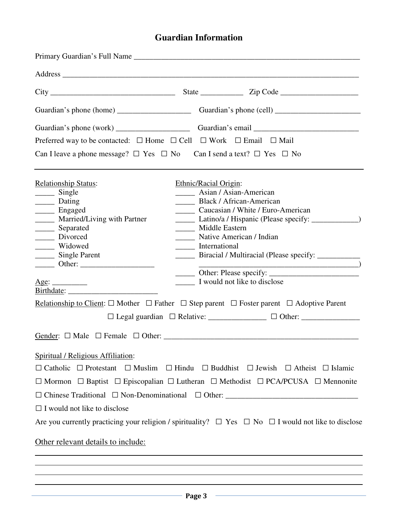## **Guardian Information**

| Preferred way to be contacted: $\Box$ Home $\Box$ Cell $\Box$ Work $\Box$ Email $\Box$ Mail                                                                                                                                                                                                                                                                                                                                 |  |  |  |
|-----------------------------------------------------------------------------------------------------------------------------------------------------------------------------------------------------------------------------------------------------------------------------------------------------------------------------------------------------------------------------------------------------------------------------|--|--|--|
| Can I leave a phone message? $\Box$ Yes $\Box$ No Can I send a text? $\Box$ Yes $\Box$ No                                                                                                                                                                                                                                                                                                                                   |  |  |  |
| Asian / Asian-American<br>Black / African-American<br>Caucasian / White / Euro-American<br>Latino/a / Hispanic (Please specify: ____________)<br>______ Native American / Indian<br>_______ Biracial / Multiracial (Please specify: _________________________________<br>I would not like to disclose<br>Relationship to Client: $\Box$ Mother $\Box$ Father $\Box$ Step parent $\Box$ Foster parent $\Box$ Adoptive Parent |  |  |  |
| $\Box$ Catholic $\Box$ Protestant $\Box$ Muslim $\Box$ Hindu $\Box$ Buddhist $\Box$ Jewish $\Box$ Atheist $\Box$ Islamic<br>$\Box$ Mormon $\Box$ Baptist $\Box$ Episcopalian $\Box$ Lutheran $\Box$ Methodist $\Box$ PCA/PCUSA $\Box$ Mennonite<br>Are you currently practicing your religion / spirituality? $\Box$ Yes $\Box$ No $\Box$ I would not like to disclose                                                      |  |  |  |
|                                                                                                                                                                                                                                                                                                                                                                                                                             |  |  |  |